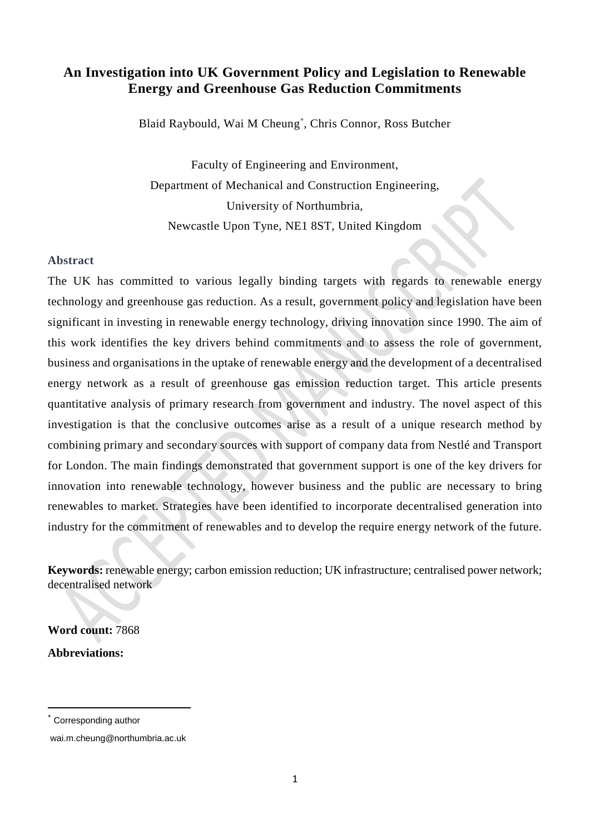# **An Investigation into UK Government Policy and Legislation to Renewable Energy and Greenhouse Gas Reduction Commitments**

Blaid Raybould, Wai M Cheung[\\*](#page-0-0) , Chris Connor, Ross Butcher

Faculty of Engineering and Environment, Department of Mechanical and Construction Engineering, University of Northumbria, Newcastle Upon Tyne, NE1 8ST, United Kingdom

## **Abstract**

The UK has committed to various legally binding targets with regards to renewable energy technology and greenhouse gas reduction. As a result, government policy and legislation have been significant in investing in renewable energy technology, driving innovation since 1990. The aim of this work identifies the key drivers behind commitments and to assess the role of government, business and organisations in the uptake of renewable energy and the development of a decentralised energy network as a result of greenhouse gas emission reduction target. This article presents quantitative analysis of primary research from government and industry. The novel aspect of this investigation is that the conclusive outcomes arise as a result of a unique research method by combining primary and secondary sources with support of company data from Nestlé and Transport for London. The main findings demonstrated that government support is one of the key drivers for innovation into renewable technology, however business and the public are necessary to bring renewables to market. Strategies have been identified to incorporate decentralised generation into industry for the commitment of renewables and to develop the require energy network of the future.

**Keywords:** renewable energy; carbon emission reduction; UK infrastructure; centralised power network; decentralised network

**Word count:** 7868 **Abbreviations:**

<span id="page-0-0"></span>Corresponding author

wai.m.cheung@northumbria.ac.uk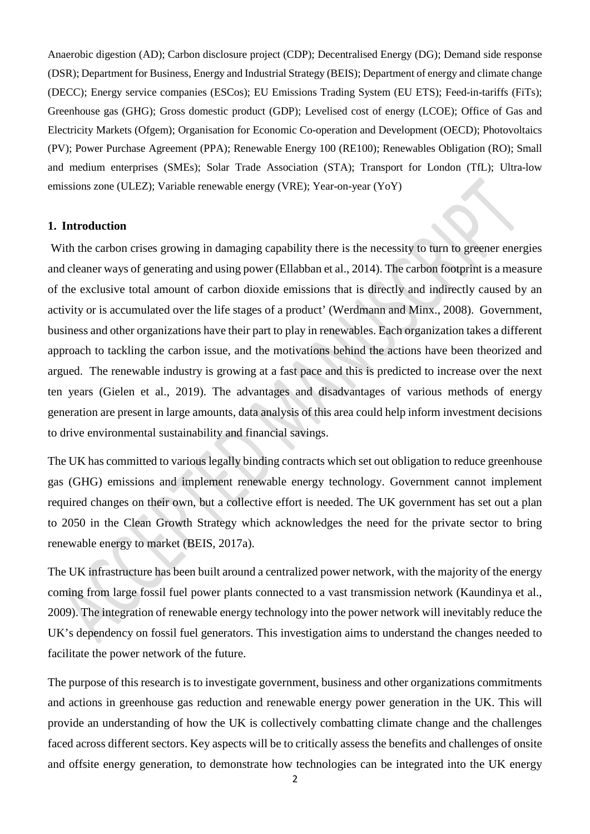Anaerobic digestion (AD); Carbon disclosure project (CDP); Decentralised Energy (DG); Demand side response (DSR); Department for Business, Energy and Industrial Strategy (BEIS); Department of energy and climate change (DECC); Energy service companies (ESCos); EU Emissions Trading System (EU ETS); Feed-in-tariffs (FiTs); Greenhouse gas (GHG); Gross domestic product (GDP); Levelised cost of energy (LCOE); Office of Gas and Electricity Markets (Ofgem); Organisation for Economic Co-operation and Development (OECD); Photovoltaics (PV); Power Purchase Agreement (PPA); Renewable Energy 100 (RE100); Renewables Obligation (RO); Small and medium enterprises (SMEs); Solar Trade Association (STA); Transport for London (TfL); Ultra-low emissions zone (ULEZ); Variable renewable energy (VRE); Year-on-year (YoY)

### **1. Introduction**

With the carbon crises growing in damaging capability there is the necessity to turn to greener energies and cleaner ways of generating and using power (Ellabban et al., 2014). The carbon footprint is a measure of the exclusive total amount of carbon dioxide emissions that is directly and indirectly caused by an activity or is accumulated over the life stages of a product' (Werdmann and Minx., 2008). Government, business and other organizations have their part to play in renewables. Each organization takes a different approach to tackling the carbon issue, and the motivations behind the actions have been theorized and argued. The renewable industry is growing at a fast pace and this is predicted to increase over the next ten years (Gielen et al., 2019). The advantages and disadvantages of various methods of energy generation are present in large amounts, data analysis of this area could help inform investment decisions to drive environmental sustainability and financial savings.

The UK has committed to various legally binding contracts which set out obligation to reduce greenhouse gas (GHG) emissions and implement renewable energy technology. Government cannot implement required changes on their own, but a collective effort is needed. The UK government has set out a plan to 2050 in the Clean Growth Strategy which acknowledges the need for the private sector to bring renewable energy to market (BEIS, 2017a).

The UK infrastructure has been built around a centralized power network, with the majority of the energy coming from large fossil fuel power plants connected to a vast transmission network (Kaundinya et al., 2009). The integration of renewable energy technology into the power network will inevitably reduce the UK's dependency on fossil fuel generators. This investigation aims to understand the changes needed to facilitate the power network of the future.

The purpose of this research is to investigate government, business and other organizations commitments and actions in greenhouse gas reduction and renewable energy power generation in the UK. This will provide an understanding of how the UK is collectively combatting climate change and the challenges faced across different sectors. Key aspects will be to critically assess the benefits and challenges of onsite and offsite energy generation, to demonstrate how technologies can be integrated into the UK energy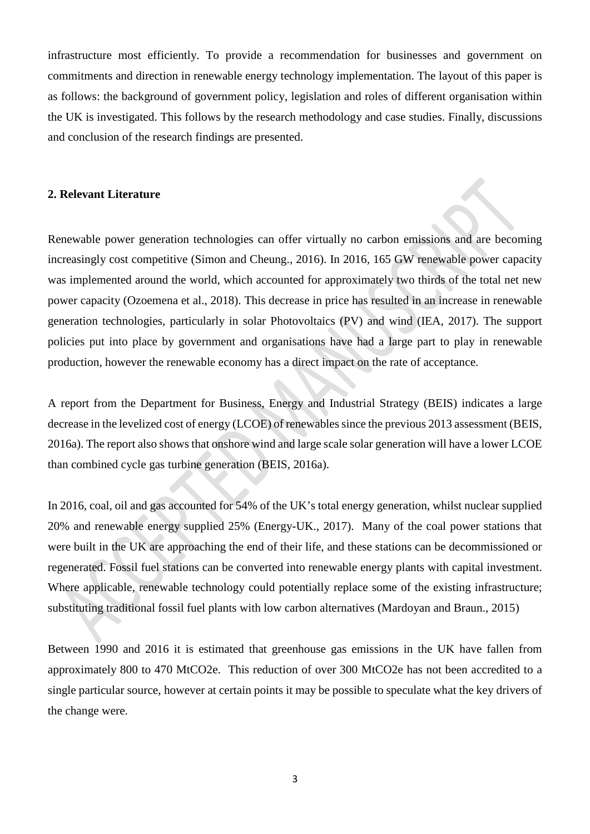infrastructure most efficiently. To provide a recommendation for businesses and government on commitments and direction in renewable energy technology implementation. The layout of this paper is as follows: the background of government policy, legislation and roles of different organisation within the UK is investigated. This follows by the research methodology and case studies. Finally, discussions and conclusion of the research findings are presented.

## **2. Relevant Literature**

Renewable power generation technologies can offer virtually no carbon emissions and are becoming increasingly cost competitive (Simon and Cheung., 2016). In 2016, 165 GW renewable power capacity was implemented around the world, which accounted for approximately two thirds of the total net new power capacity (Ozoemena et al., 2018). This decrease in price has resulted in an increase in renewable generation technologies, particularly in solar Photovoltaics (PV) and wind (IEA, 2017). The support policies put into place by government and organisations have had a large part to play in renewable production, however the renewable economy has a direct impact on the rate of acceptance.

A report from the Department for Business, Energy and Industrial Strategy (BEIS) indicates a large decrease in the levelized cost of energy (LCOE) of renewables since the previous 2013 assessment (BEIS, 2016a). The report also shows that onshore wind and large scale solar generation will have a lower LCOE than combined cycle gas turbine generation (BEIS, 2016a).

In 2016, coal, oil and gas accounted for 54% of the UK's total energy generation, whilst nuclear supplied 20% and renewable energy supplied 25% (Energy-UK., 2017). Many of the coal power stations that were built in the UK are approaching the end of their life, and these stations can be decommissioned or regenerated. Fossil fuel stations can be converted into renewable energy plants with capital investment. Where applicable, renewable technology could potentially replace some of the existing infrastructure; substituting traditional fossil fuel plants with low carbon alternatives (Mardoyan and Braun., 2015)

Between 1990 and 2016 it is estimated that greenhouse gas emissions in the UK have fallen from approximately 800 to 470 MtCO2e. This reduction of over 300 MtCO2e has not been accredited to a single particular source, however at certain points it may be possible to speculate what the key drivers of the change were.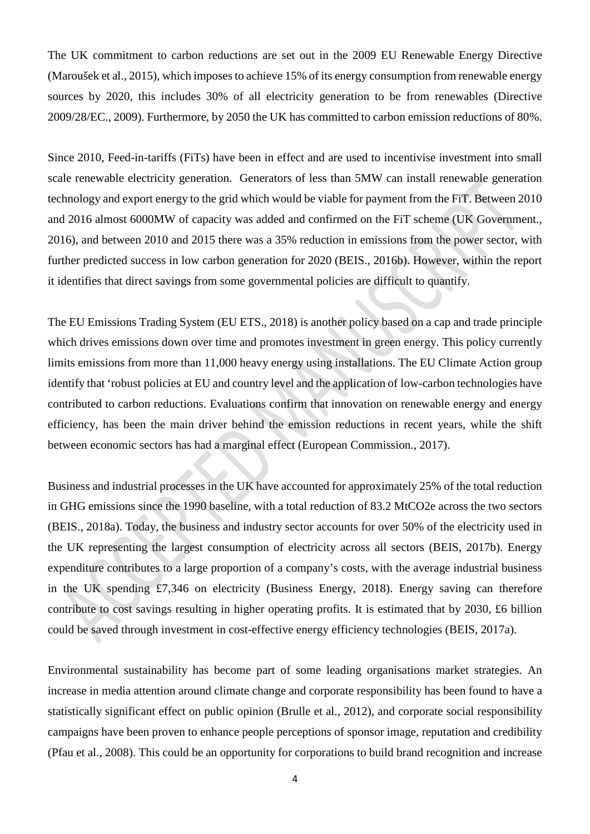The UK commitment to carbon reductions are set out in the 2009 EU Renewable Energy Directive (Maroušek et al., 2015), which imposes to achieve 15% of its energy consumption from renewable energy sources by 2020, this includes 30% of all electricity generation to be from renewables (Directive 2009/28/EC., 2009). Furthermore, by 2050 the UK has committed to carbon emission reductions of 80%.

Since 2010, Feed-in-tariffs (FiTs) have been in effect and are used to incentivise investment into small scale renewable electricity generation. Generators of less than 5MW can install renewable generation technology and export energy to the grid which would be viable for payment from the FiT. Between 2010 and 2016 almost 6000MW of capacity was added and confirmed on the FiT scheme (UK Government., 2016), and between 2010 and 2015 there was a 35% reduction in emissions from the power sector, with further predicted success in low carbon generation for 2020 (BEIS., 2016b). However, within the report it identifies that direct savings from some governmental policies are difficult to quantify.

The EU Emissions Trading System (EU ETS., 2018) is another policy based on a cap and trade principle which drives emissions down over time and promotes investment in green energy. This policy currently limits emissions from more than 11,000 heavy energy using installations. The EU Climate Action group identify that 'robust policies at EU and country level and the application of low-carbon technologies have contributed to carbon reductions. Evaluations confirm that innovation on renewable energy and energy efficiency, has been the main driver behind the emission reductions in recent years, while the shift between economic sectors has had a marginal effect (European Commission., 2017).

Business and industrial processes in the UK have accounted for approximately 25% of the total reduction in GHG emissions since the 1990 baseline, with a total reduction of 83.2 MtCO2e across the two sectors (BEIS., 2018a). Today, the business and industry sector accounts for over 50% of the electricity used in the UK representing the largest consumption of electricity across all sectors (BEIS, 2017b). Energy expenditure contributes to a large proportion of a company's costs, with the average industrial business in the UK spending £7,346 on electricity (Business Energy, 2018). Energy saving can therefore contribute to cost savings resulting in higher operating profits. It is estimated that by 2030, £6 billion could be saved through investment in cost-effective energy efficiency technologies (BEIS, 2017a).

Environmental sustainability has become part of some leading organisations market strategies. An increase in media attention around climate change and corporate responsibility has been found to have a statistically significant effect on public opinion (Brulle et al., 2012), and corporate social responsibility campaigns have been proven to enhance people perceptions of sponsor image, reputation and credibility (Pfau et al., 2008). This could be an opportunity for corporations to build brand recognition and increase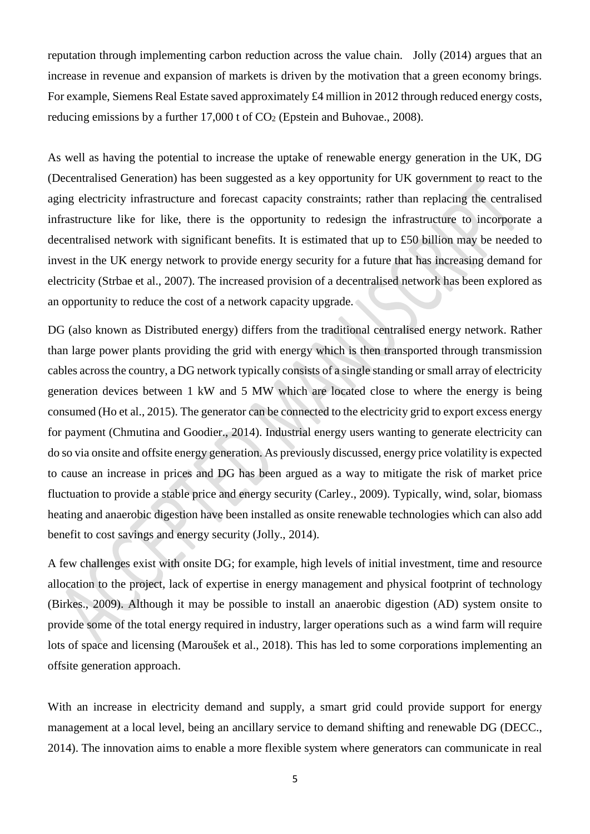reputation through implementing carbon reduction across the value chain. Jolly (2014) argues that an increase in revenue and expansion of markets is driven by the motivation that a green economy brings. For example, Siemens Real Estate saved approximately £4 million in 2012 through reduced energy costs, reducing emissions by a further  $17,000$  t of  $CO<sub>2</sub>$  (Epstein and Buhovae., 2008).

As well as having the potential to increase the uptake of renewable energy generation in the UK, DG (Decentralised Generation) has been suggested as a key opportunity for UK government to react to the aging electricity infrastructure and forecast capacity constraints; rather than replacing the centralised infrastructure like for like, there is the opportunity to redesign the infrastructure to incorporate a decentralised network with significant benefits. It is estimated that up to £50 billion may be needed to invest in the UK energy network to provide energy security for a future that has increasing demand for electricity (Strbae et al., 2007). The increased provision of a decentralised network has been explored as an opportunity to reduce the cost of a network capacity upgrade.

DG (also known as Distributed energy) differs from the traditional centralised energy network. Rather than large power plants providing the grid with energy which is then transported through transmission cables across the country, a DG network typically consists of a single standing or small array of electricity generation devices between 1 kW and 5 MW which are located close to where the energy is being consumed (Ho et al., 2015). The generator can be connected to the electricity grid to export excess energy for payment (Chmutina and Goodier., 2014). Industrial energy users wanting to generate electricity can do so via onsite and offsite energy generation. As previously discussed, energy price volatility is expected to cause an increase in prices and DG has been argued as a way to mitigate the risk of market price fluctuation to provide a stable price and energy security (Carley., 2009). Typically, wind, solar, biomass heating and anaerobic digestion have been installed as onsite renewable technologies which can also add benefit to cost savings and energy security (Jolly., 2014).

A few challenges exist with onsite DG; for example, high levels of initial investment, time and resource allocation to the project, lack of expertise in energy management and physical footprint of technology (Birkes., 2009). Although it may be possible to install an anaerobic digestion (AD) system onsite to provide some of the total energy required in industry, larger operations such as a wind farm will require lots of space and licensing (Maroušek et al., 2018). This has led to some corporations implementing an offsite generation approach.

With an increase in electricity demand and supply, a smart grid could provide support for energy management at a local level, being an ancillary service to demand shifting and renewable DG (DECC., 2014). The innovation aims to enable a more flexible system where generators can communicate in real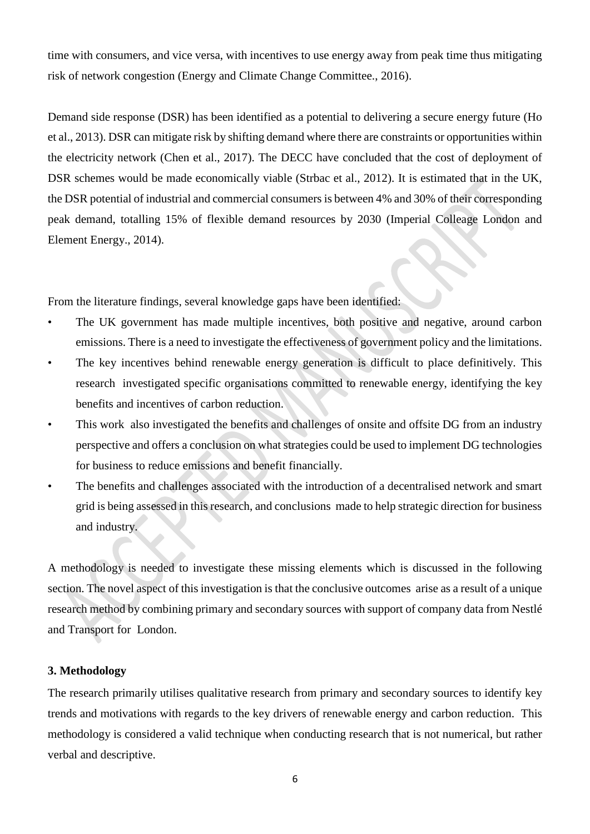time with consumers, and vice versa, with incentives to use energy away from peak time thus mitigating risk of network congestion (Energy and Climate Change Committee., 2016).

Demand side response (DSR) has been identified as a potential to delivering a secure energy future (Ho et al., 2013). DSR can mitigate risk by shifting demand where there are constraints or opportunities within the electricity network (Chen et al., 2017). The DECC have concluded that the cost of deployment of DSR schemes would be made economically viable (Strbac et al., 2012). It is estimated that in the UK, the DSR potential of industrial and commercial consumers is between 4% and 30% of their corresponding peak demand, totalling 15% of flexible demand resources by 2030 (Imperial Colleage London and Element Energy., 2014).

From the literature findings, several knowledge gaps have been identified:

- The UK government has made multiple incentives, both positive and negative, around carbon emissions. There is a need to investigate the effectiveness of government policy and the limitations.
- The key incentives behind renewable energy generation is difficult to place definitively. This research investigated specific organisations committed to renewable energy, identifying the key benefits and incentives of carbon reduction.
- This work also investigated the benefits and challenges of onsite and offsite DG from an industry perspective and offers a conclusion on what strategies could be used to implement DG technologies for business to reduce emissions and benefit financially.
- The benefits and challenges associated with the introduction of a decentralised network and smart grid is being assessed in this research, and conclusions made to help strategic direction for business and industry.

A methodology is needed to investigate these missing elements which is discussed in the following section. The novel aspect of this investigation is that the conclusive outcomes arise as a result of a unique research method by combining primary and secondary sources with support of company data from Nestlé and Transport for London.

## **3. Methodology**

The research primarily utilises qualitative research from primary and secondary sources to identify key trends and motivations with regards to the key drivers of renewable energy and carbon reduction. This methodology is considered a valid technique when conducting research that is not numerical, but rather verbal and descriptive.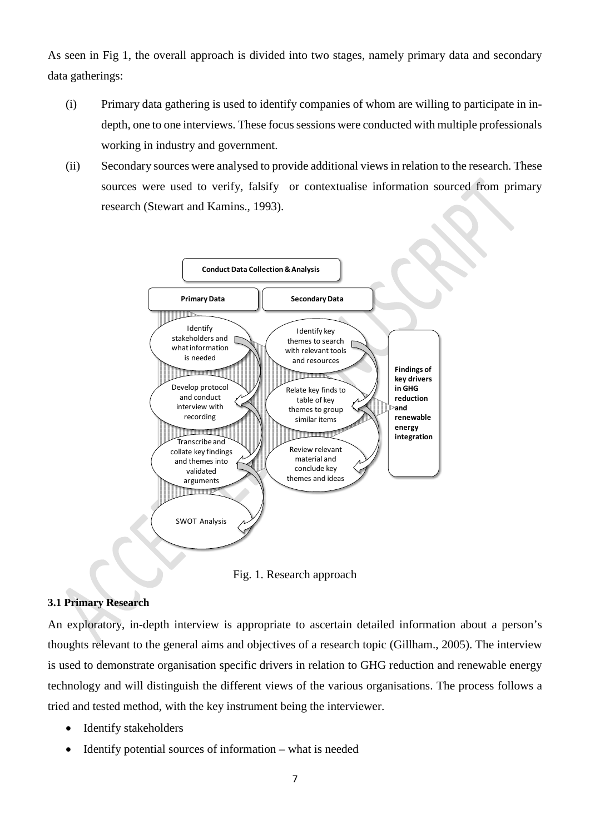As seen in Fig 1, the overall approach is divided into two stages, namely primary data and secondary data gatherings:

- (i) Primary data gathering is used to identify companies of whom are willing to participate in indepth, one to one interviews. These focus sessions were conducted with multiple professionals working in industry and government.
- (ii) Secondary sources were analysed to provide additional views in relation to the research. These sources were used to verify, falsify or contextualise information sourced from primary research (Stewart and Kamins., 1993).



Fig. 1. Research approach

## **3.1 Primary Research**

An exploratory, in-depth interview is appropriate to ascertain detailed information about a person's thoughts relevant to the general aims and objectives of a research topic (Gillham., 2005). The interview is used to demonstrate organisation specific drivers in relation to GHG reduction and renewable energy technology and will distinguish the different views of the various organisations. The process follows a tried and tested method, with the key instrument being the interviewer.

- Identify stakeholders
- Identify potential sources of information what is needed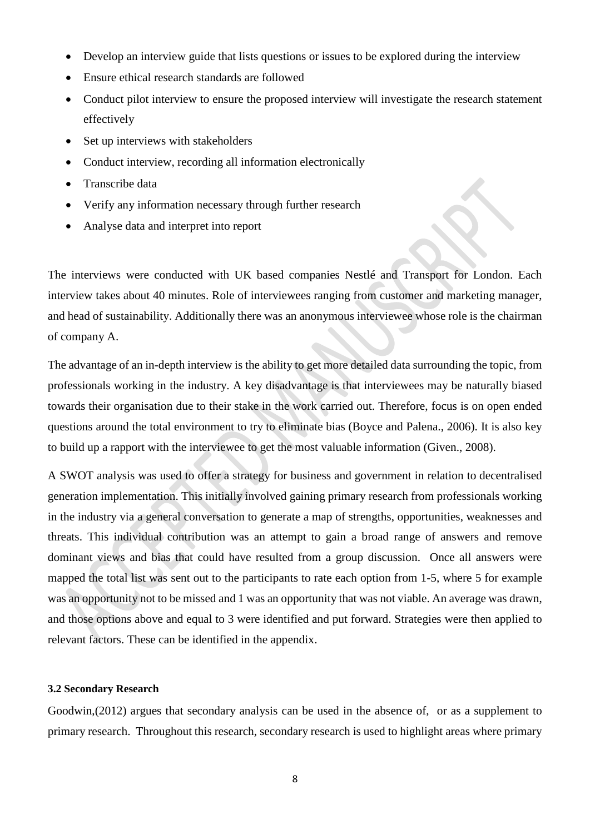- Develop an interview guide that lists questions or issues to be explored during the interview
- Ensure ethical research standards are followed
- Conduct pilot interview to ensure the proposed interview will investigate the research statement effectively
- Set up interviews with stakeholders
- Conduct interview, recording all information electronically
- Transcribe data
- Verify any information necessary through further research
- Analyse data and interpret into report

The interviews were conducted with UK based companies Nestlé and Transport for London. Each interview takes about 40 minutes. Role of interviewees ranging from customer and marketing manager, and head of sustainability. Additionally there was an anonymous interviewee whose role is the chairman of company A.

The advantage of an in-depth interview is the ability to get more detailed data surrounding the topic, from professionals working in the industry. A key disadvantage is that interviewees may be naturally biased towards their organisation due to their stake in the work carried out. Therefore, focus is on open ended questions around the total environment to try to eliminate bias (Boyce and Palena., 2006). It is also key to build up a rapport with the interviewee to get the most valuable information (Given., 2008).

A SWOT analysis was used to offer a strategy for business and government in relation to decentralised generation implementation. This initially involved gaining primary research from professionals working in the industry via a general conversation to generate a map of strengths, opportunities, weaknesses and threats. This individual contribution was an attempt to gain a broad range of answers and remove dominant views and bias that could have resulted from a group discussion. Once all answers were mapped the total list was sent out to the participants to rate each option from 1-5, where 5 for example was an opportunity not to be missed and 1 was an opportunity that was not viable. An average was drawn, and those options above and equal to 3 were identified and put forward. Strategies were then applied to relevant factors. These can be identified in the appendix.

#### **3.2 Secondary Research**

Goodwin,(2012) argues that secondary analysis can be used in the absence of, or as a supplement to primary research. Throughout this research, secondary research is used to highlight areas where primary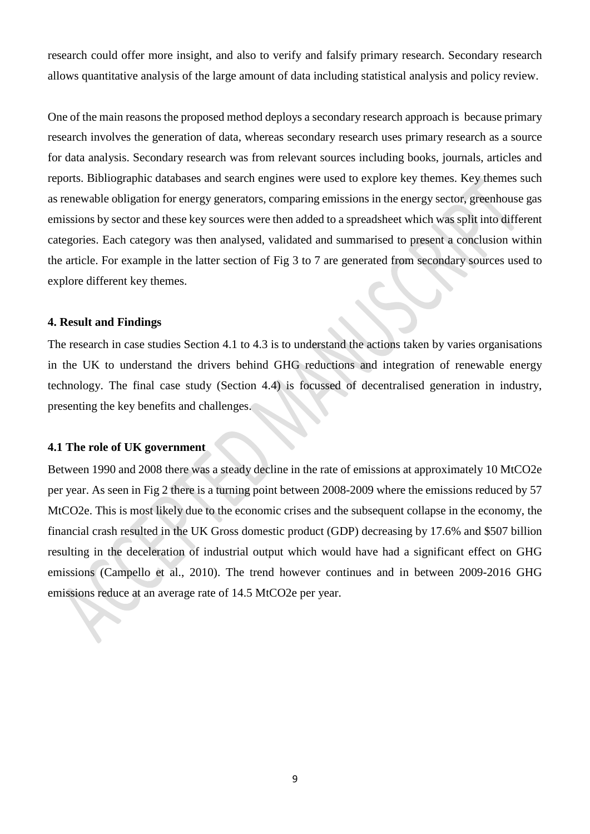research could offer more insight, and also to verify and falsify primary research. Secondary research allows quantitative analysis of the large amount of data including statistical analysis and policy review.

One of the main reasons the proposed method deploys a secondary research approach is because primary research involves the generation of data, whereas secondary research uses primary research as a source for data analysis. Secondary research was from relevant sources including books, journals, articles and reports. Bibliographic databases and search engines were used to explore key themes. Key themes such as renewable obligation for energy generators, comparing emissions in the energy sector, greenhouse gas emissions by sector and these key sources were then added to a spreadsheet which was split into different categories. Each category was then analysed, validated and summarised to present a conclusion within the article. For example in the latter section of Fig 3 to 7 are generated from secondary sources used to explore different key themes.

#### **4. Result and Findings**

The research in case studies Section 4.1 to 4.3 is to understand the actions taken by varies organisations in the UK to understand the drivers behind GHG reductions and integration of renewable energy technology. The final case study (Section 4.4) is focussed of decentralised generation in industry, presenting the key benefits and challenges.

#### **4.1 The role of UK government**

Between 1990 and 2008 there was a steady decline in the rate of emissions at approximately 10 MtCO2e per year. As seen in Fig 2 there is a turning point between 2008-2009 where the emissions reduced by 57 MtCO2e. This is most likely due to the economic crises and the subsequent collapse in the economy, the financial crash resulted in the UK Gross domestic product (GDP) decreasing by 17.6% and \$507 billion resulting in the deceleration of industrial output which would have had a significant effect on GHG emissions (Campello et al., 2010). The trend however continues and in between 2009-2016 GHG emissions reduce at an average rate of 14.5 MtCO2e per year.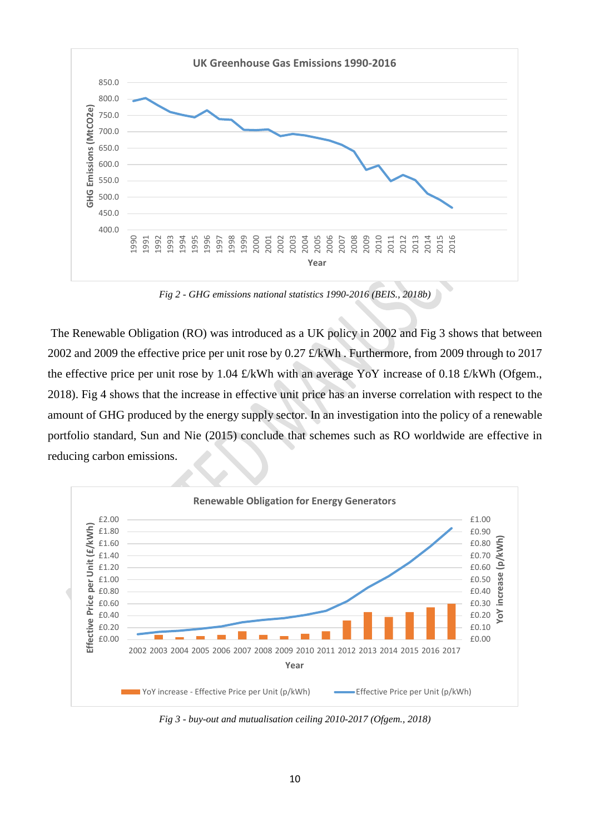

*Fig 2 - GHG emissions national statistics 1990-2016 (BEIS., 2018b)*

The Renewable Obligation (RO) was introduced as a UK policy in 2002 and Fig 3 shows that between 2002 and 2009 the effective price per unit rose by 0.27 £/kWh . Furthermore, from 2009 through to 2017 the effective price per unit rose by 1.04 £/kWh with an average YoY increase of 0.18 £/kWh (Ofgem., 2018). Fig 4 shows that the increase in effective unit price has an inverse correlation with respect to the amount of GHG produced by the energy supply sector. In an investigation into the policy of a renewable portfolio standard, Sun and Nie (2015) conclude that schemes such as RO worldwide are effective in reducing carbon emissions.



*Fig 3 - buy-out and mutualisation ceiling 2010-2017 (Ofgem., 2018)*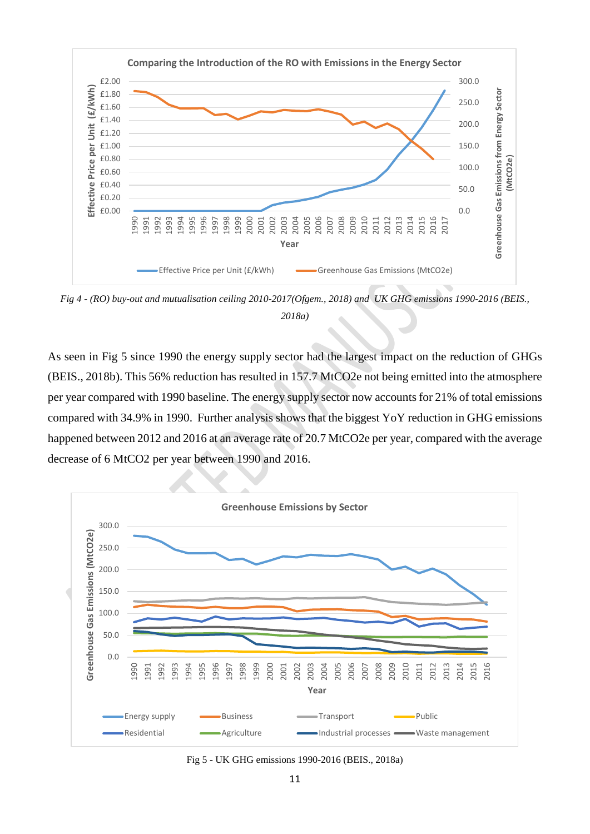

*Fig 4 - (RO) buy-out and mutualisation ceiling 2010-2017(Ofgem., 2018) and UK GHG emissions 1990-2016 (BEIS., 2018a)*

As seen in Fig 5 since 1990 the energy supply sector had the largest impact on the reduction of GHGs (BEIS., 2018b). This 56% reduction has resulted in 157.7 MtCO2e not being emitted into the atmosphere per year compared with 1990 baseline. The energy supply sector now accounts for 21% of total emissions compared with 34.9% in 1990. Further analysis shows that the biggest YoY reduction in GHG emissions happened between 2012 and 2016 at an average rate of 20.7 MtCO2e per year, compared with the average decrease of 6 MtCO2 per year between 1990 and 2016.



Fig 5 - UK GHG emissions 1990-2016 (BEIS., 2018a)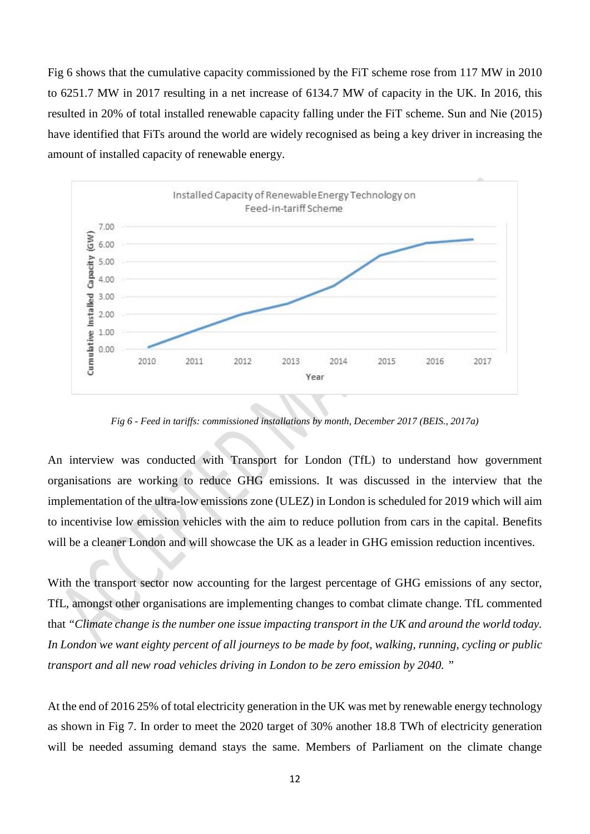Fig 6 shows that the cumulative capacity commissioned by the FiT scheme rose from 117 MW in 2010 to 6251.7 MW in 2017 resulting in a net increase of 6134.7 MW of capacity in the UK. In 2016, this resulted in 20% of total installed renewable capacity falling under the FiT scheme. Sun and Nie (2015) have identified that FiTs around the world are widely recognised as being a key driver in increasing the amount of installed capacity of renewable energy.



*Fig 6 - Feed in tariffs: commissioned installations by month, December 2017 (BEIS., 2017a)*

An interview was conducted with Transport for London (TfL) to understand how government organisations are working to reduce GHG emissions. It was discussed in the interview that the implementation of the ultra-low emissions zone (ULEZ) in London is scheduled for 2019 which will aim to incentivise low emission vehicles with the aim to reduce pollution from cars in the capital. Benefits will be a cleaner London and will showcase the UK as a leader in GHG emission reduction incentives.

With the transport sector now accounting for the largest percentage of GHG emissions of any sector, TfL, amongst other organisations are implementing changes to combat climate change. TfL commented that *"Climate change is the number one issue impacting transport in the UK and around the world today. In London we want eighty percent of all journeys to be made by foot, walking, running, cycling or public transport and all new road vehicles driving in London to be zero emission by 2040. "* 

At the end of 2016 25% of total electricity generation in the UK was met by renewable energy technology as shown in Fig 7. In order to meet the 2020 target of 30% another 18.8 TWh of electricity generation will be needed assuming demand stays the same. Members of Parliament on the climate change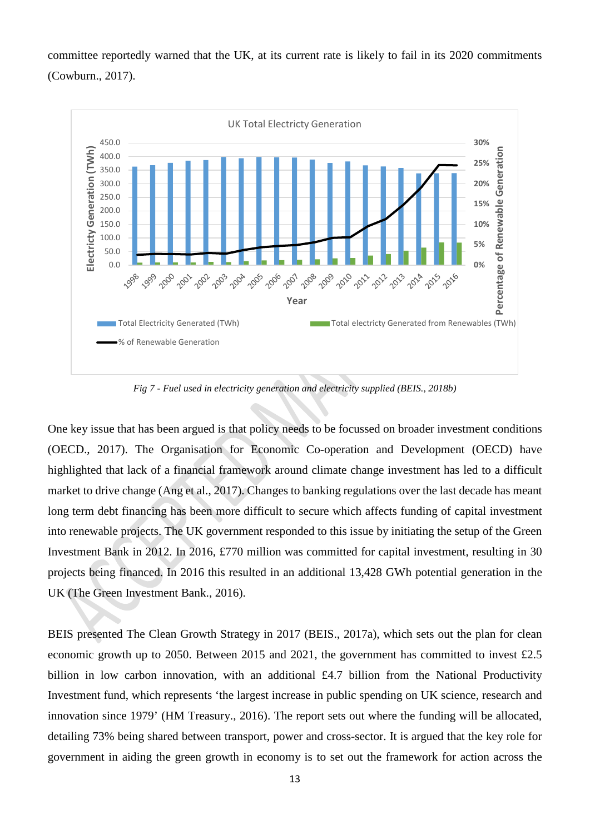committee reportedly warned that the UK, at its current rate is likely to fail in its 2020 commitments (Cowburn., 2017).



*Fig 7 - Fuel used in electricity generation and electricity supplied (BEIS., 2018b)*

One key issue that has been argued is that policy needs to be focussed on broader investment conditions (OECD., 2017). The Organisation for Economic Co-operation and Development (OECD) have highlighted that lack of a financial framework around climate change investment has led to a difficult market to drive change (Ang et al., 2017). Changes to banking regulations over the last decade has meant long term debt financing has been more difficult to secure which affects funding of capital investment into renewable projects. The UK government responded to this issue by initiating the setup of the Green Investment Bank in 2012. In 2016, £770 million was committed for capital investment, resulting in 30 projects being financed. In 2016 this resulted in an additional 13,428 GWh potential generation in the UK (The Green Investment Bank., 2016).

BEIS presented The Clean Growth Strategy in 2017 (BEIS., 2017a), which sets out the plan for clean economic growth up to 2050. Between 2015 and 2021, the government has committed to invest £2.5 billion in low carbon innovation, with an additional £4.7 billion from the National Productivity Investment fund, which represents 'the largest increase in public spending on UK science, research and innovation since 1979' (HM Treasury., 2016). The report sets out where the funding will be allocated, detailing 73% being shared between transport, power and cross-sector. It is argued that the key role for government in aiding the green growth in economy is to set out the framework for action across the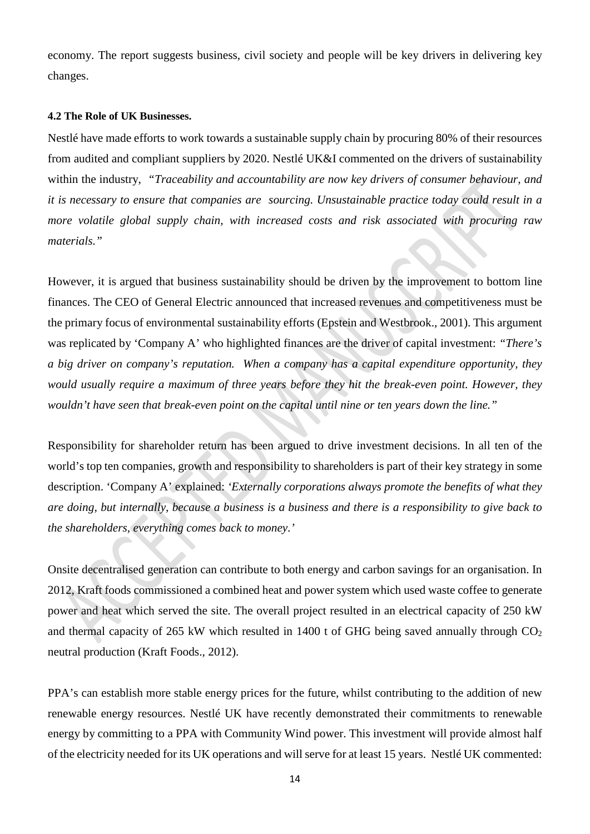economy. The report suggests business, civil society and people will be key drivers in delivering key changes.

#### **4.2 The Role of UK Businesses.**

Nestlé have made efforts to work towards a sustainable supply chain by procuring 80% of their resources from audited and compliant suppliers by 2020. Nestlé UK&I commented on the drivers of sustainability within the industry, *"Traceability and accountability are now key drivers of consumer behaviour, and it is necessary to ensure that companies are sourcing. Unsustainable practice today could result in a more volatile global supply chain, with increased costs and risk associated with procuring raw materials."*

However, it is argued that business sustainability should be driven by the improvement to bottom line finances. The CEO of General Electric announced that increased revenues and competitiveness must be the primary focus of environmental sustainability efforts (Epstein and Westbrook., 2001). This argument was replicated by 'Company A' who highlighted finances are the driver of capital investment: *"There's a big driver on company's reputation. When a company has a capital expenditure opportunity, they would usually require a maximum of three years before they hit the break-even point. However, they wouldn't have seen that break-even point on the capital until nine or ten years down the line."* 

Responsibility for shareholder return has been argued to drive investment decisions. In all ten of the world's top ten companies, growth and responsibility to shareholders is part of their key strategy in some description. 'Company A' explained: *'Externally corporations always promote the benefits of what they are doing, but internally, because a business is a business and there is a responsibility to give back to the shareholders, everything comes back to money.'* 

Onsite decentralised generation can contribute to both energy and carbon savings for an organisation. In 2012, Kraft foods commissioned a combined heat and power system which used waste coffee to generate power and heat which served the site. The overall project resulted in an electrical capacity of 250 kW and thermal capacity of 265 kW which resulted in 1400 t of GHG being saved annually through  $CO<sub>2</sub>$ neutral production (Kraft Foods., 2012).

PPA's can establish more stable energy prices for the future, whilst contributing to the addition of new renewable energy resources. Nestlé UK have recently demonstrated their commitments to renewable energy by committing to a PPA with Community Wind power. This investment will provide almost half of the electricity needed for its UK operations and will serve for at least 15 years. Nestlé UK commented: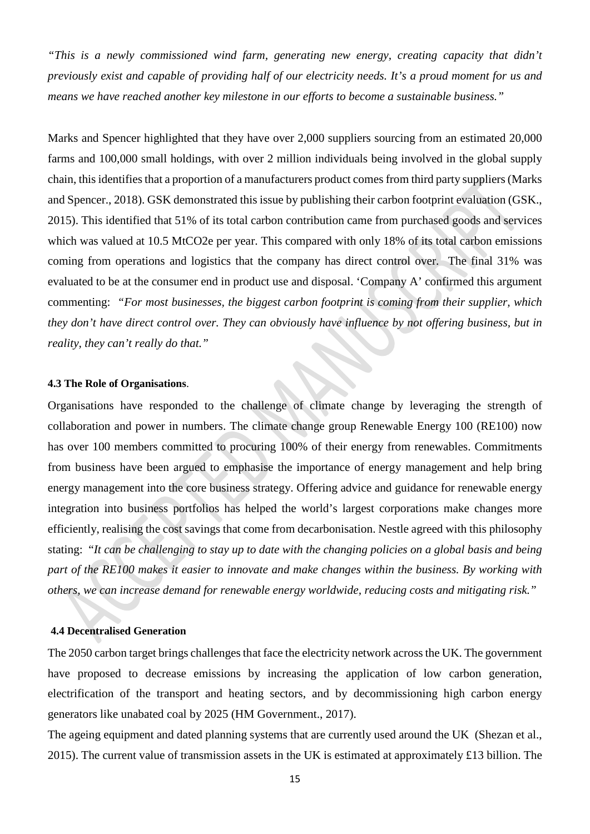*"This is a newly commissioned wind farm, generating new energy, creating capacity that didn't previously exist and capable of providing half of our electricity needs. It's a proud moment for us and means we have reached another key milestone in our efforts to become a sustainable business."* 

Marks and Spencer highlighted that they have over 2,000 suppliers sourcing from an estimated 20,000 farms and 100,000 small holdings, with over 2 million individuals being involved in the global supply chain, this identifies that a proportion of a manufacturers product comes from third party suppliers(Marks and Spencer., 2018). GSK demonstrated this issue by publishing their carbon footprint evaluation (GSK., 2015). This identified that 51% of its total carbon contribution came from purchased goods and services which was valued at 10.5 MtCO2e per year. This compared with only 18% of its total carbon emissions coming from operations and logistics that the company has direct control over. The final 31% was evaluated to be at the consumer end in product use and disposal. 'Company A' confirmed this argument commenting: *"For most businesses, the biggest carbon footprint is coming from their supplier, which they don't have direct control over. They can obviously have influence by not offering business, but in reality, they can't really do that."*

#### **4.3 The Role of Organisations**.

Organisations have responded to the challenge of climate change by leveraging the strength of collaboration and power in numbers. The climate change group Renewable Energy 100 (RE100) now has over 100 members committed to procuring 100% of their energy from renewables. Commitments from business have been argued to emphasise the importance of energy management and help bring energy management into the core business strategy. Offering advice and guidance for renewable energy integration into business portfolios has helped the world's largest corporations make changes more efficiently, realising the cost savings that come from decarbonisation. Nestle agreed with this philosophy stating: "*It can be challenging to stay up to date with the changing policies on a global basis and being part of the RE100 makes it easier to innovate and make changes within the business. By working with others, we can increase demand for renewable energy worldwide, reducing costs and mitigating risk."*

#### **4.4 Decentralised Generation**

The 2050 carbon target brings challenges that face the electricity network across the UK. The government have proposed to decrease emissions by increasing the application of low carbon generation, electrification of the transport and heating sectors, and by decommissioning high carbon energy generators like unabated coal by 2025 (HM Government., 2017).

The ageing equipment and dated planning systems that are currently used around the UK (Shezan et al., 2015). The current value of transmission assets in the UK is estimated at approximately £13 billion. The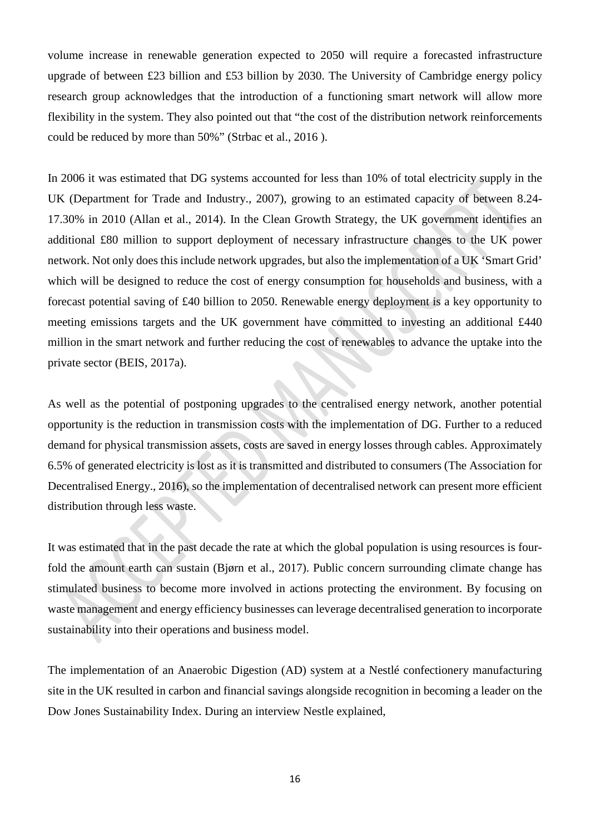volume increase in renewable generation expected to 2050 will require a forecasted infrastructure upgrade of between £23 billion and £53 billion by 2030. The University of Cambridge energy policy research group acknowledges that the introduction of a functioning smart network will allow more flexibility in the system. They also pointed out that "the cost of the distribution network reinforcements could be reduced by more than 50%" (Strbac et al., 2016 ).

In 2006 it was estimated that DG systems accounted for less than 10% of total electricity supply in the UK (Department for Trade and Industry., 2007), growing to an estimated capacity of between 8.24- 17.30% in 2010 (Allan et al., 2014). In the Clean Growth Strategy, the UK government identifies an additional £80 million to support deployment of necessary infrastructure changes to the UK power network. Not only does this include network upgrades, but also the implementation of a UK 'Smart Grid' which will be designed to reduce the cost of energy consumption for households and business, with a forecast potential saving of £40 billion to 2050. Renewable energy deployment is a key opportunity to meeting emissions targets and the UK government have committed to investing an additional £440 million in the smart network and further reducing the cost of renewables to advance the uptake into the private sector (BEIS, 2017a).

As well as the potential of postponing upgrades to the centralised energy network, another potential opportunity is the reduction in transmission costs with the implementation of DG. Further to a reduced demand for physical transmission assets, costs are saved in energy losses through cables. Approximately 6.5% of generated electricity is lost as it is transmitted and distributed to consumers (The Association for Decentralised Energy., 2016), so the implementation of decentralised network can present more efficient distribution through less waste.

It was estimated that in the past decade the rate at which the global population is using resources is fourfold the amount earth can sustain (Bjørn et al., 2017). Public concern surrounding climate change has stimulated business to become more involved in actions protecting the environment. By focusing on waste management and energy efficiency businesses can leverage decentralised generation to incorporate sustainability into their operations and business model.

The implementation of an Anaerobic Digestion (AD) system at a Nestlé confectionery manufacturing site in the UK resulted in carbon and financial savings alongside recognition in becoming a leader on the Dow Jones Sustainability Index. During an interview Nestle explained,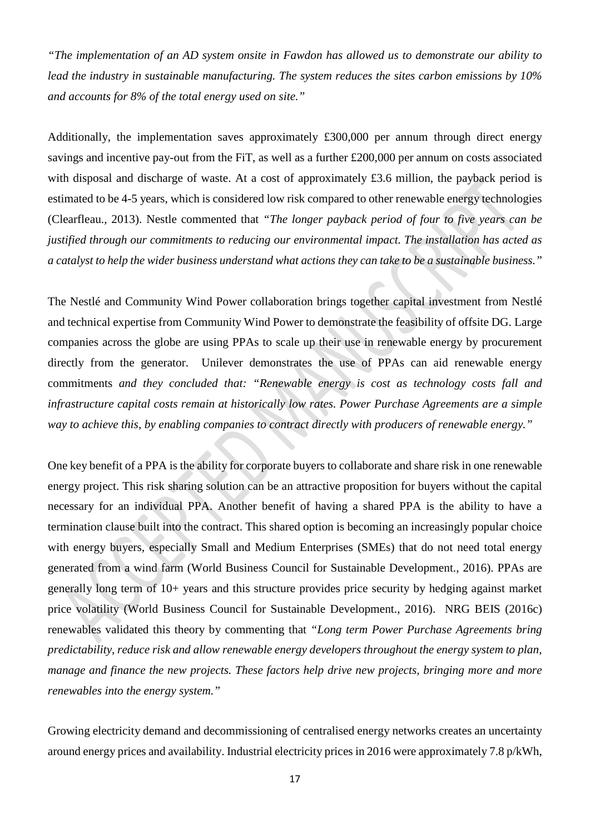*"The implementation of an AD system onsite in Fawdon has allowed us to demonstrate our ability to lead the industry in sustainable manufacturing. The system reduces the sites carbon emissions by 10% and accounts for 8% of the total energy used on site."*

Additionally, the implementation saves approximately £300,000 per annum through direct energy savings and incentive pay-out from the FiT, as well as a further £200,000 per annum on costs associated with disposal and discharge of waste. At a cost of approximately £3.6 million, the payback period is estimated to be 4-5 years, which is considered low risk compared to other renewable energy technologies (Clearfleau., 2013). Nestle commented that *"The longer payback period of four to five years can be justified through our commitments to reducing our environmental impact. The installation has acted as a catalyst to help the wider business understand what actions they can take to be a sustainable business."*

The Nestlé and Community Wind Power collaboration brings together capital investment from Nestlé and technical expertise from Community Wind Power to demonstrate the feasibility of offsite DG. Large companies across the globe are using PPAs to scale up their use in renewable energy by procurement directly from the generator. Unilever demonstrates the use of PPAs can aid renewable energy commitments *and they concluded that: "Renewable energy is cost as technology costs fall and infrastructure capital costs remain at historically low rates. Power Purchase Agreements are a simple way to achieve this, by enabling companies to contract directly with producers of renewable energy."*

One key benefit of a PPA is the ability for corporate buyers to collaborate and share risk in one renewable energy project. This risk sharing solution can be an attractive proposition for buyers without the capital necessary for an individual PPA. Another benefit of having a shared PPA is the ability to have a termination clause built into the contract. This shared option is becoming an increasingly popular choice with energy buyers, especially Small and Medium Enterprises (SMEs) that do not need total energy generated from a wind farm (World Business Council for Sustainable Development., 2016). PPAs are generally long term of 10+ years and this structure provides price security by hedging against market price volatility (World Business Council for Sustainable Development., 2016). NRG BEIS (2016c) renewables validated this theory by commenting that *"Long term Power Purchase Agreements bring predictability, reduce risk and allow renewable energy developers throughout the energy system to plan, manage and finance the new projects. These factors help drive new projects, bringing more and more renewables into the energy system."* 

Growing electricity demand and decommissioning of centralised energy networks creates an uncertainty around energy prices and availability. Industrial electricity prices in 2016 were approximately 7.8 p/kWh,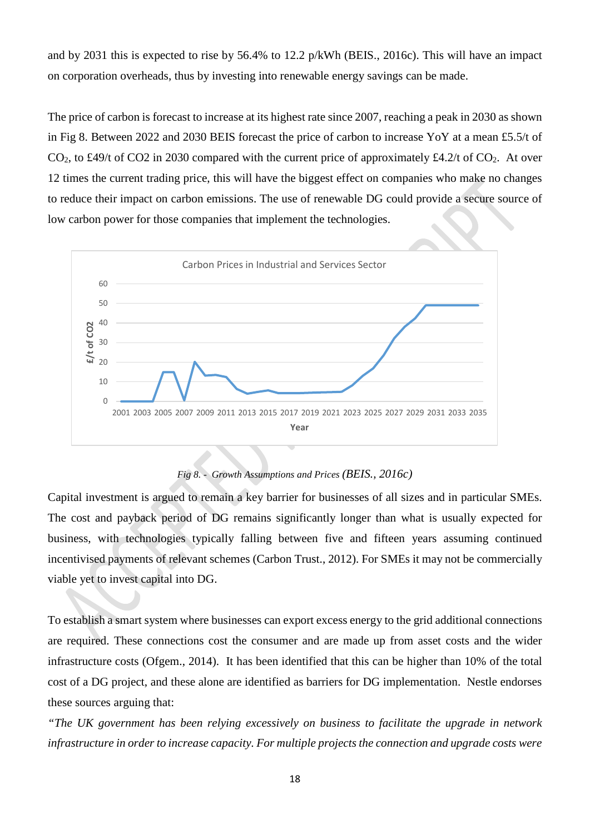and by 2031 this is expected to rise by 56.4% to 12.2 p/kWh (BEIS., 2016c). This will have an impact on corporation overheads, thus by investing into renewable energy savings can be made.

The price of carbon is forecast to increase at its highest rate since 2007, reaching a peak in 2030 as shown in Fig 8. Between 2022 and 2030 BEIS forecast the price of carbon to increase YoY at a mean £5.5/t of  $CO<sub>2</sub>$ , to £49/t of CO2 in 2030 compared with the current price of approximately £4.2/t of CO<sub>2</sub>. At over 12 times the current trading price, this will have the biggest effect on companies who make no changes to reduce their impact on carbon emissions. The use of renewable DG could provide a secure source of low carbon power for those companies that implement the technologies.



*Fig 8. - Growth Assumptions and Prices (BEIS., 2016c)*

Capital investment is argued to remain a key barrier for businesses of all sizes and in particular SMEs. The cost and payback period of DG remains significantly longer than what is usually expected for business, with technologies typically falling between five and fifteen years assuming continued incentivised payments of relevant schemes (Carbon Trust., 2012). For SMEs it may not be commercially viable yet to invest capital into DG.

To establish a smart system where businesses can export excess energy to the grid additional connections are required. These connections cost the consumer and are made up from asset costs and the wider infrastructure costs (Ofgem., 2014). It has been identified that this can be higher than 10% of the total cost of a DG project, and these alone are identified as barriers for DG implementation. Nestle endorses these sources arguing that:

*"The UK government has been relying excessively on business to facilitate the upgrade in network infrastructure in order to increase capacity. For multiple projects the connection and upgrade costs were*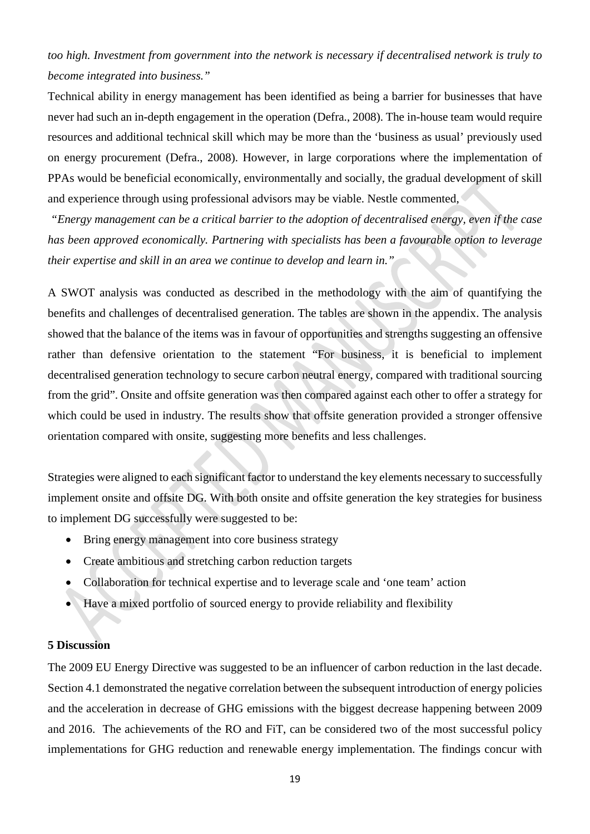# *too high. Investment from government into the network is necessary if decentralised network is truly to become integrated into business."*

Technical ability in energy management has been identified as being a barrier for businesses that have never had such an in-depth engagement in the operation (Defra., 2008). The in-house team would require resources and additional technical skill which may be more than the 'business as usual' previously used on energy procurement (Defra., 2008). However, in large corporations where the implementation of PPAs would be beneficial economically, environmentally and socially, the gradual development of skill and experience through using professional advisors may be viable. Nestle commented,

*"Energy management can be a critical barrier to the adoption of decentralised energy, even if the case has been approved economically. Partnering with specialists has been a favourable option to leverage their expertise and skill in an area we continue to develop and learn in."*

A SWOT analysis was conducted as described in the methodology with the aim of quantifying the benefits and challenges of decentralised generation. The tables are shown in the appendix. The analysis showed that the balance of the items was in favour of opportunities and strengths suggesting an offensive rather than defensive orientation to the statement "For business, it is beneficial to implement decentralised generation technology to secure carbon neutral energy, compared with traditional sourcing from the grid". Onsite and offsite generation was then compared against each other to offer a strategy for which could be used in industry. The results show that offsite generation provided a stronger offensive orientation compared with onsite, suggesting more benefits and less challenges.

Strategies were aligned to each significant factor to understand the key elements necessary to successfully implement onsite and offsite DG. With both onsite and offsite generation the key strategies for business to implement DG successfully were suggested to be:

- Bring energy management into core business strategy
- Create ambitious and stretching carbon reduction targets
- Collaboration for technical expertise and to leverage scale and 'one team' action
- Have a mixed portfolio of sourced energy to provide reliability and flexibility

## **5 Discussion**

The 2009 EU Energy Directive was suggested to be an influencer of carbon reduction in the last decade. Section 4.1 demonstrated the negative correlation between the subsequent introduction of energy policies and the acceleration in decrease of GHG emissions with the biggest decrease happening between 2009 and 2016. The achievements of the RO and FiT, can be considered two of the most successful policy implementations for GHG reduction and renewable energy implementation. The findings concur with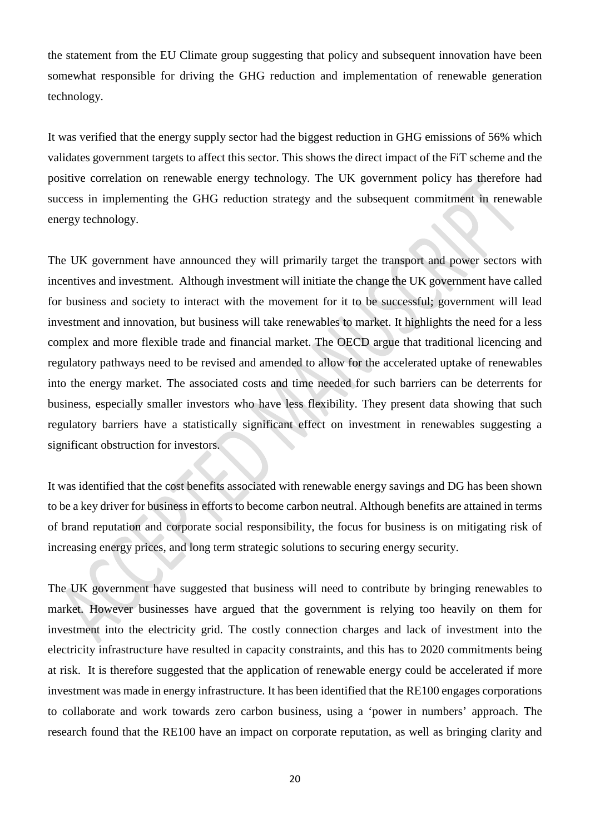the statement from the EU Climate group suggesting that policy and subsequent innovation have been somewhat responsible for driving the GHG reduction and implementation of renewable generation technology.

It was verified that the energy supply sector had the biggest reduction in GHG emissions of 56% which validates government targets to affect this sector. This shows the direct impact of the FiT scheme and the positive correlation on renewable energy technology. The UK government policy has therefore had success in implementing the GHG reduction strategy and the subsequent commitment in renewable energy technology.

The UK government have announced they will primarily target the transport and power sectors with incentives and investment. Although investment will initiate the change the UK government have called for business and society to interact with the movement for it to be successful; government will lead investment and innovation, but business will take renewables to market. It highlights the need for a less complex and more flexible trade and financial market. The OECD argue that traditional licencing and regulatory pathways need to be revised and amended to allow for the accelerated uptake of renewables into the energy market. The associated costs and time needed for such barriers can be deterrents for business, especially smaller investors who have less flexibility. They present data showing that such regulatory barriers have a statistically significant effect on investment in renewables suggesting a significant obstruction for investors.

It was identified that the cost benefits associated with renewable energy savings and DG has been shown to be a key driver for business in efforts to become carbon neutral. Although benefits are attained in terms of brand reputation and corporate social responsibility, the focus for business is on mitigating risk of increasing energy prices, and long term strategic solutions to securing energy security.

The UK government have suggested that business will need to contribute by bringing renewables to market. However businesses have argued that the government is relying too heavily on them for investment into the electricity grid. The costly connection charges and lack of investment into the electricity infrastructure have resulted in capacity constraints, and this has to 2020 commitments being at risk. It is therefore suggested that the application of renewable energy could be accelerated if more investment was made in energy infrastructure. It has been identified that the RE100 engages corporations to collaborate and work towards zero carbon business, using a 'power in numbers' approach. The research found that the RE100 have an impact on corporate reputation, as well as bringing clarity and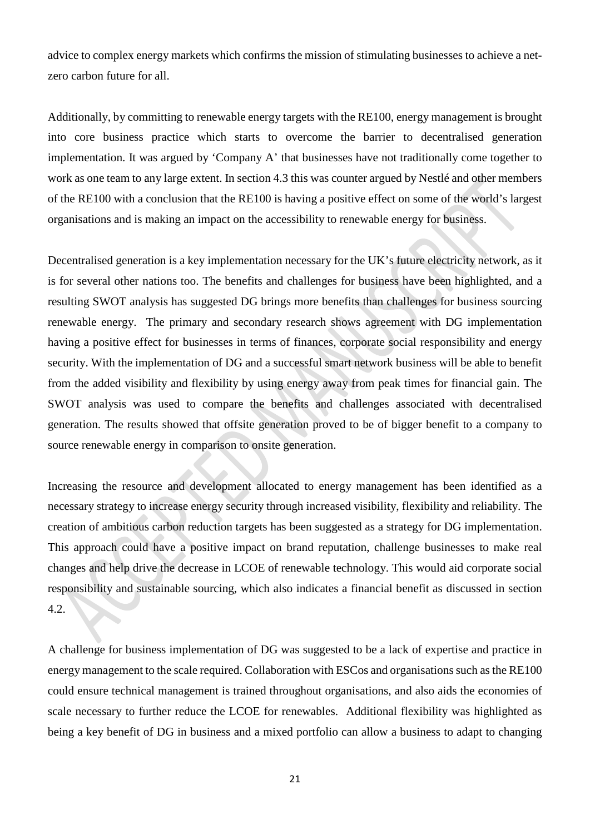advice to complex energy markets which confirms the mission of stimulating businesses to achieve a netzero carbon future for all.

Additionally, by committing to renewable energy targets with the RE100, energy management is brought into core business practice which starts to overcome the barrier to decentralised generation implementation. It was argued by 'Company A' that businesses have not traditionally come together to work as one team to any large extent. In section 4.3 this was counter argued by Nestlé and other members of the RE100 with a conclusion that the RE100 is having a positive effect on some of the world's largest organisations and is making an impact on the accessibility to renewable energy for business.

Decentralised generation is a key implementation necessary for the UK's future electricity network, as it is for several other nations too. The benefits and challenges for business have been highlighted, and a resulting SWOT analysis has suggested DG brings more benefits than challenges for business sourcing renewable energy. The primary and secondary research shows agreement with DG implementation having a positive effect for businesses in terms of finances, corporate social responsibility and energy security. With the implementation of DG and a successful smart network business will be able to benefit from the added visibility and flexibility by using energy away from peak times for financial gain. The SWOT analysis was used to compare the benefits and challenges associated with decentralised generation. The results showed that offsite generation proved to be of bigger benefit to a company to source renewable energy in comparison to onsite generation.

Increasing the resource and development allocated to energy management has been identified as a necessary strategy to increase energy security through increased visibility, flexibility and reliability. The creation of ambitious carbon reduction targets has been suggested as a strategy for DG implementation. This approach could have a positive impact on brand reputation, challenge businesses to make real changes and help drive the decrease in LCOE of renewable technology. This would aid corporate social responsibility and sustainable sourcing, which also indicates a financial benefit as discussed in section 4.2.

A challenge for business implementation of DG was suggested to be a lack of expertise and practice in energy management to the scale required. Collaboration with ESCos and organisations such as the RE100 could ensure technical management is trained throughout organisations, and also aids the economies of scale necessary to further reduce the LCOE for renewables. Additional flexibility was highlighted as being a key benefit of DG in business and a mixed portfolio can allow a business to adapt to changing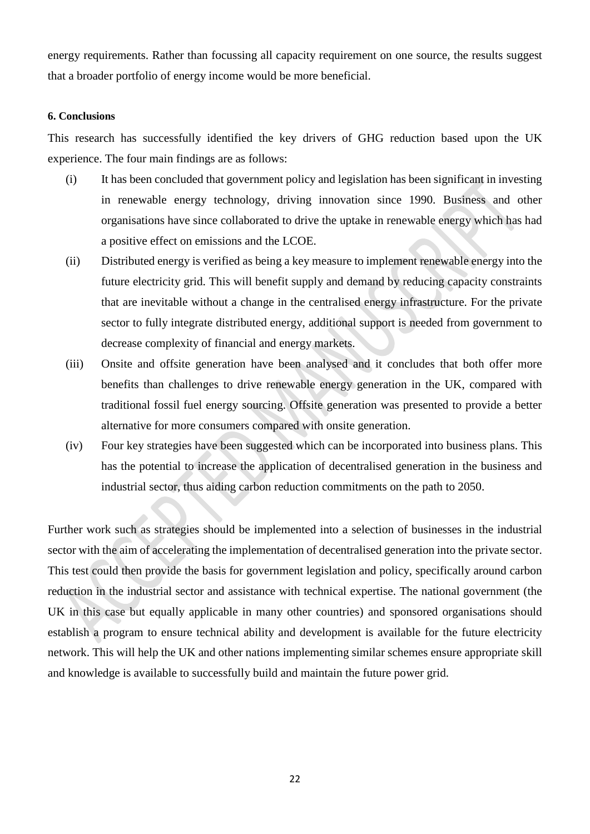energy requirements. Rather than focussing all capacity requirement on one source, the results suggest that a broader portfolio of energy income would be more beneficial.

#### **6. Conclusions**

This research has successfully identified the key drivers of GHG reduction based upon the UK experience. The four main findings are as follows:

- (i) It has been concluded that government policy and legislation has been significant in investing in renewable energy technology, driving innovation since 1990. Business and other organisations have since collaborated to drive the uptake in renewable energy which has had a positive effect on emissions and the LCOE.
- (ii) Distributed energy is verified as being a key measure to implement renewable energy into the future electricity grid. This will benefit supply and demand by reducing capacity constraints that are inevitable without a change in the centralised energy infrastructure. For the private sector to fully integrate distributed energy, additional support is needed from government to decrease complexity of financial and energy markets.
- (iii) Onsite and offsite generation have been analysed and it concludes that both offer more benefits than challenges to drive renewable energy generation in the UK, compared with traditional fossil fuel energy sourcing. Offsite generation was presented to provide a better alternative for more consumers compared with onsite generation.
- (iv) Four key strategies have been suggested which can be incorporated into business plans. This has the potential to increase the application of decentralised generation in the business and industrial sector, thus aiding carbon reduction commitments on the path to 2050.

Further work such as strategies should be implemented into a selection of businesses in the industrial sector with the aim of accelerating the implementation of decentralised generation into the private sector. This test could then provide the basis for government legislation and policy, specifically around carbon reduction in the industrial sector and assistance with technical expertise. The national government (the UK in this case but equally applicable in many other countries) and sponsored organisations should establish a program to ensure technical ability and development is available for the future electricity network. This will help the UK and other nations implementing similar schemes ensure appropriate skill and knowledge is available to successfully build and maintain the future power grid.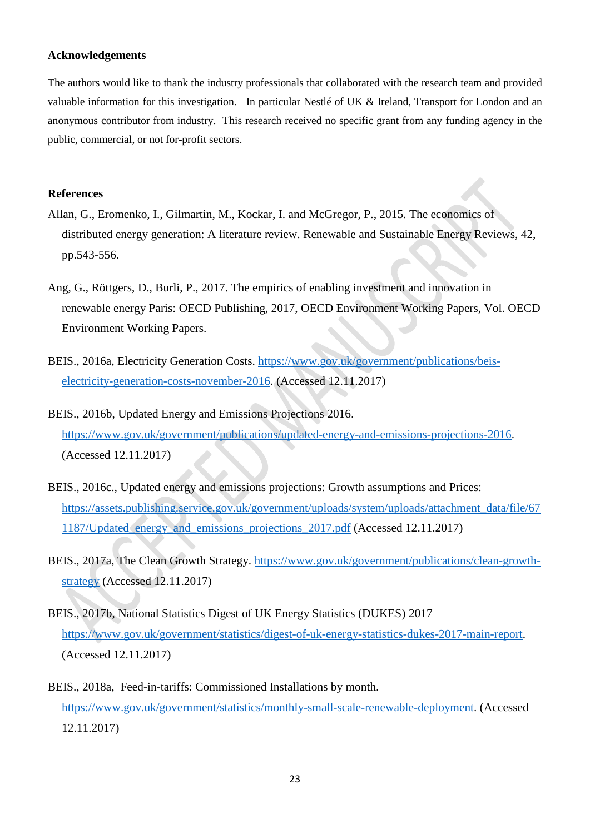#### **Acknowledgements**

The authors would like to thank the industry professionals that collaborated with the research team and provided valuable information for this investigation. In particular Nestlé of UK & Ireland, Transport for London and an anonymous contributor from industry. This research received no specific grant from any funding agency in the public, commercial, or not for-profit sectors.

#### **References**

- Allan, G., Eromenko, I., Gilmartin, M., Kockar, I. and McGregor, P., 2015. The economics of distributed energy generation: A literature review. Renewable and Sustainable Energy Reviews, 42, pp.543-556.
- Ang, G., Röttgers, D., Burli, P., 2017. The empirics of enabling investment and innovation in renewable energy Paris: OECD Publishing, 2017, OECD Environment Working Papers, Vol. OECD Environment Working Papers.
- BEIS., 2016a, Electricity Generation Costs. [https://www.gov.uk/government/publications/beis](https://www.gov.uk/government/publications/beis-electricity-generation-costs-november-2016)[electricity-generation-costs-november-2016.](https://www.gov.uk/government/publications/beis-electricity-generation-costs-november-2016) (Accessed 12.11.2017)
- BEIS., 2016b, Updated Energy and Emissions Projections 2016. [https://www.gov.uk/government/publications/updated-energy-and-emissions-projections-2016.](https://www.gov.uk/government/publications/updated-energy-and-emissions-projections-2016) (Accessed 12.11.2017)
- BEIS., 2016c., Updated energy and emissions projections: Growth assumptions and Prices: [https://assets.publishing.service.gov.uk/government/uploads/system/uploads/attachment\\_data/file/67](https://assets.publishing.service.gov.uk/government/uploads/system/uploads/attachment_data/file/671187/Updated_energy_and_emissions_projections_2017.pdf) [1187/Updated\\_energy\\_and\\_emissions\\_projections\\_2017.pdf](https://assets.publishing.service.gov.uk/government/uploads/system/uploads/attachment_data/file/671187/Updated_energy_and_emissions_projections_2017.pdf) (Accessed 12.11.2017)
- BEIS., 2017a, The Clean Growth Strategy. [https://www.gov.uk/government/publications/clean-growth](https://www.gov.uk/government/publications/clean-growth-strategy)[strategy](https://www.gov.uk/government/publications/clean-growth-strategy) (Accessed 12.11.2017)
- BEIS., 2017b, National Statistics Digest of UK Energy Statistics (DUKES) 2017 [https://www.gov.uk/government/statistics/digest-of-uk-energy-statistics-dukes-2017-main-report.](https://www.gov.uk/government/statistics/digest-of-uk-energy-statistics-dukes-2017-main-report) (Accessed 12.11.2017)
- BEIS., 2018a, Feed-in-tariffs: Commissioned Installations by month. [https://www.gov.uk/government/statistics/monthly-small-scale-renewable-deployment.](https://www.gov.uk/government/statistics/monthly-small-scale-renewable-deployment) (Accessed 12.11.2017)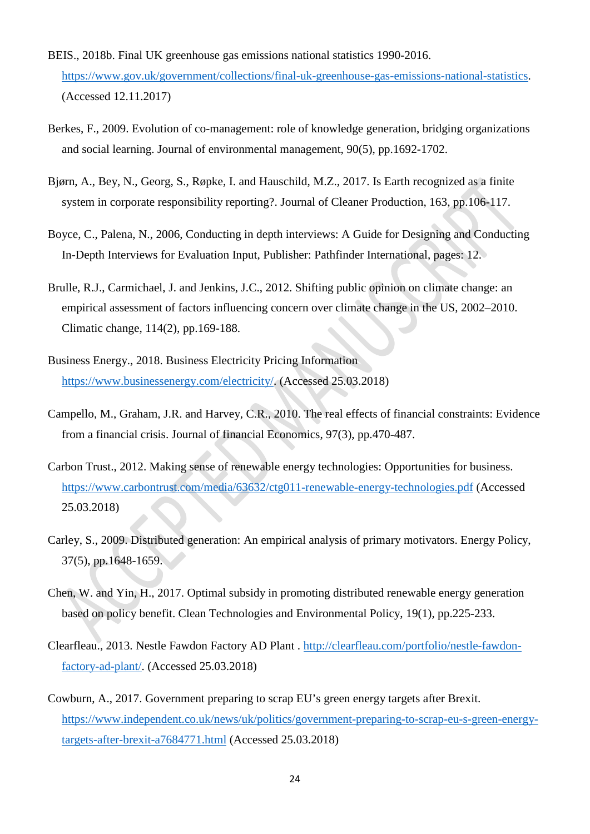- BEIS., 2018b. Final UK greenhouse gas emissions national statistics 1990-2016. [https://www.gov.uk/government/collections/final-uk-greenhouse-gas-emissions-national-statistics.](https://www.gov.uk/government/collections/final-uk-greenhouse-gas-emissions-national-statistics) (Accessed 12.11.2017)
- Berkes, F., 2009. Evolution of co-management: role of knowledge generation, bridging organizations and social learning. Journal of environmental management, 90(5), pp.1692-1702.
- Bjørn, A., Bey, N., Georg, S., Røpke, I. and Hauschild, M.Z., 2017. Is Earth recognized as a finite system in corporate responsibility reporting?. Journal of Cleaner Production, 163, pp.106-117.
- Boyce, C., Palena, N., 2006, Conducting in depth interviews: A Guide for Designing and Conducting In-Depth Interviews for Evaluation Input, Publisher: Pathfinder International, pages: 12.
- Brulle, R.J., Carmichael, J. and Jenkins, J.C., 2012. Shifting public opinion on climate change: an empirical assessment of factors influencing concern over climate change in the US, 2002–2010. Climatic change, 114(2), pp.169-188.
- Business Energy., 2018. Business Electricity Pricing Information [https://www.businessenergy.com/electricity/.](https://www.businessenergy.com/electricity/) (Accessed 25.03.2018)
- Campello, M., Graham, J.R. and Harvey, C.R., 2010. The real effects of financial constraints: Evidence from a financial crisis. Journal of financial Economics, 97(3), pp.470-487.
- Carbon Trust., 2012. Making sense of renewable energy technologies: Opportunities for business. <https://www.carbontrust.com/media/63632/ctg011-renewable-energy-technologies.pdf> (Accessed 25.03.2018)
- Carley, S., 2009. Distributed generation: An empirical analysis of primary motivators. Energy Policy, 37(5), pp.1648-1659.
- Chen, W. and Yin, H., 2017. Optimal subsidy in promoting distributed renewable energy generation based on policy benefit. Clean Technologies and Environmental Policy, 19(1), pp.225-233.
- Clearfleau., 2013. Nestle Fawdon Factory AD Plant . [http://clearfleau.com/portfolio/nestle-fawdon](http://clearfleau.com/portfolio/nestle-fawdon-factory-ad-plant/)[factory-ad-plant/.](http://clearfleau.com/portfolio/nestle-fawdon-factory-ad-plant/) (Accessed 25.03.2018)
- Cowburn, A., 2017. Government preparing to scrap EU's green energy targets after Brexit. [https://www.independent.co.uk/news/uk/politics/government-preparing-to-scrap-eu-s-green-energy](https://www.independent.co.uk/news/uk/politics/government-preparing-to-scrap-eu-s-green-energy-targets-after-brexit-a7684771.html)[targets-after-brexit-a7684771.html](https://www.independent.co.uk/news/uk/politics/government-preparing-to-scrap-eu-s-green-energy-targets-after-brexit-a7684771.html) (Accessed 25.03.2018)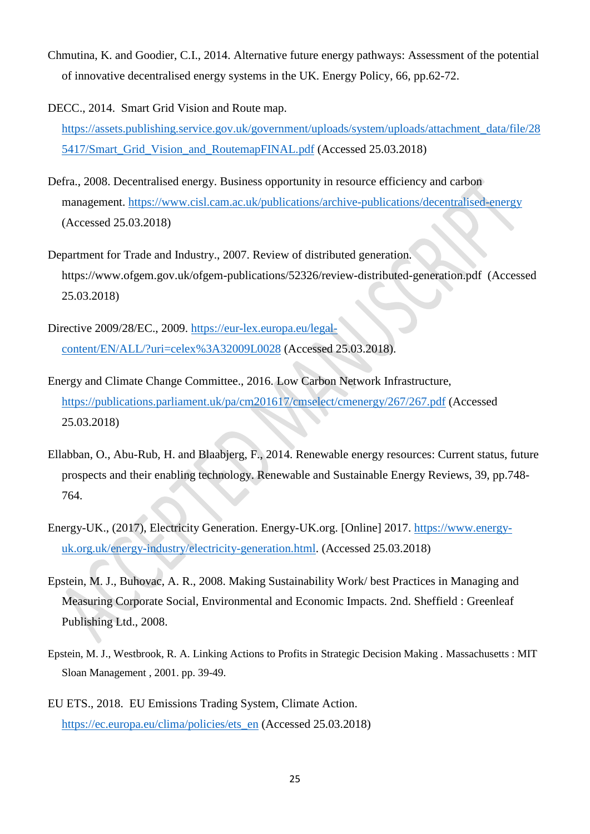- Chmutina, K. and Goodier, C.I., 2014. Alternative future energy pathways: Assessment of the potential of innovative decentralised energy systems in the UK. Energy Policy, 66, pp.62-72.
- DECC., 2014. Smart Grid Vision and Route map. [https://assets.publishing.service.gov.uk/government/uploads/system/uploads/attachment\\_data/file/28](https://assets.publishing.service.gov.uk/government/uploads/system/uploads/attachment_data/file/285417/Smart_Grid_Vision_and_RoutemapFINAL.pdf) 5417/Smart Grid Vision and RoutemapFINAL.pdf (Accessed 25.03.2018)
- Defra., 2008. Decentralised energy. Business opportunity in resource efficiency and carbon management.<https://www.cisl.cam.ac.uk/publications/archive-publications/decentralised-energy> (Accessed 25.03.2018)
- Department for Trade and Industry., 2007. Review of distributed generation. https://www.ofgem.gov.uk/ofgem-publications/52326/review-distributed-generation.pdf (Accessed 25.03.2018)
- Directive 2009/28/EC., 2009. [https://eur-lex.europa.eu/legal](https://eur-lex.europa.eu/legal-content/EN/ALL/?uri=celex%3A32009L0028)[content/EN/ALL/?uri=celex%3A32009L0028](https://eur-lex.europa.eu/legal-content/EN/ALL/?uri=celex%3A32009L0028) (Accessed 25.03.2018).
- Energy and Climate Change Committee., 2016. Low Carbon Network Infrastructure, <https://publications.parliament.uk/pa/cm201617/cmselect/cmenergy/267/267.pdf> (Accessed 25.03.2018)
- Ellabban, O., Abu-Rub, H. and Blaabjerg, F., 2014. Renewable energy resources: Current status, future prospects and their enabling technology. Renewable and Sustainable Energy Reviews, 39, pp.748- 764.
- Energy-UK., (2017), Electricity Generation. Energy-UK.org. [Online] 2017. [https://www.energy](https://www.energy-uk.org.uk/energy-industry/electricity-generation.html)[uk.org.uk/energy-industry/electricity-generation.html.](https://www.energy-uk.org.uk/energy-industry/electricity-generation.html) (Accessed 25.03.2018)
- Epstein, M. J., Buhovac, A. R., 2008. Making Sustainability Work/ best Practices in Managing and Measuring Corporate Social, Environmental and Economic Impacts. 2nd. Sheffield : Greenleaf Publishing Ltd., 2008.
- Epstein, M. J., Westbrook, R. A. Linking Actions to Profits in Strategic Decision Making *.* Massachusetts : MIT Sloan Management , 2001. pp. 39-49.
- EU ETS., 2018. EU Emissions Trading System, Climate Action. [https://ec.europa.eu/clima/policies/ets\\_en](https://ec.europa.eu/clima/policies/ets_en) (Accessed 25.03.2018)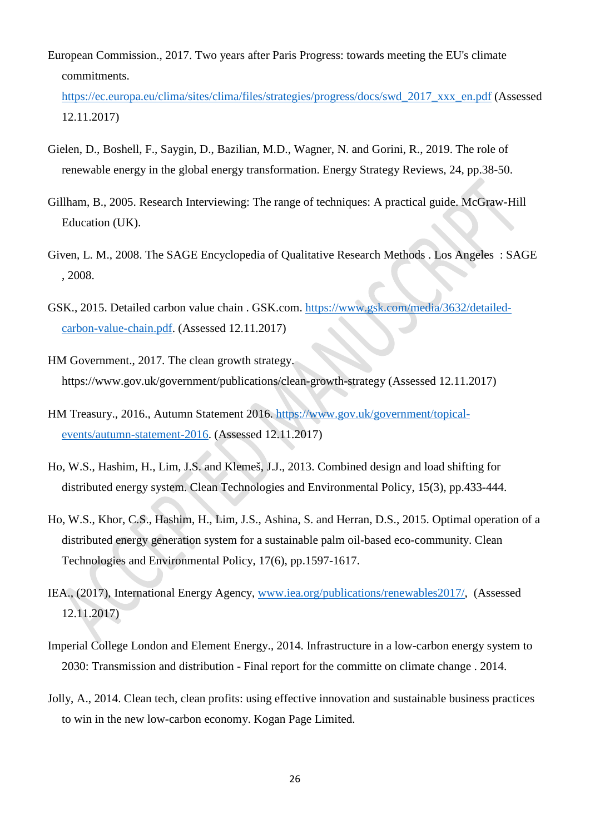European Commission., 2017. Two years after Paris Progress: towards meeting the EU's climate commitments.

[https://ec.europa.eu/clima/sites/clima/files/strategies/progress/docs/swd\\_2017\\_xxx\\_en.pdf](https://ec.europa.eu/clima/sites/clima/files/strategies/progress/docs/swd_2017_xxx_en.pdf) (Assessed 12.11.2017)

- Gielen, D., Boshell, F., Saygin, D., Bazilian, M.D., Wagner, N. and Gorini, R., 2019. The role of renewable energy in the global energy transformation. Energy Strategy Reviews, 24, pp.38-50.
- Gillham, B., 2005. Research Interviewing: The range of techniques: A practical guide. McGraw-Hill Education (UK).
- Given, L. M., 2008. The SAGE Encyclopedia of Qualitative Research Methods . Los Angeles : SAGE , 2008.
- GSK., 2015. Detailed carbon value chain . GSK.com. [https://www.gsk.com/media/3632/detailed](https://www.gsk.com/media/3632/detailed-carbon-value-chain.pdf)[carbon-value-chain.pdf.](https://www.gsk.com/media/3632/detailed-carbon-value-chain.pdf) (Assessed 12.11.2017)
- HM Government., 2017. The clean growth strategy. https://www.gov.uk/government/publications/clean-growth-strategy (Assessed 12.11.2017)
- HM Treasury., 2016., Autumn Statement 2016. [https://www.gov.uk/government/topical](https://www.gov.uk/government/topical-events/autumn-statement-2016)[events/autumn-statement-2016.](https://www.gov.uk/government/topical-events/autumn-statement-2016) (Assessed 12.11.2017)
- Ho, W.S., Hashim, H., Lim, J.S. and Klemeš, J.J., 2013. Combined design and load shifting for distributed energy system. Clean Technologies and Environmental Policy, 15(3), pp.433-444.
- Ho, W.S., Khor, C.S., Hashim, H., Lim, J.S., Ashina, S. and Herran, D.S., 2015. Optimal operation of a distributed energy generation system for a sustainable palm oil-based eco-community. Clean Technologies and Environmental Policy, 17(6), pp.1597-1617.
- IEA., (2017), International Energy Agency, [www.iea.org/publications/renewables2017/,](http://www.iea.org/publications/renewables2017/) (Assessed 12.11.2017)
- Imperial College London and Element Energy., 2014. Infrastructure in a low-carbon energy system to 2030: Transmission and distribution - Final report for the committe on climate change . 2014.
- Jolly, A., 2014. Clean tech, clean profits: using effective innovation and sustainable business practices to win in the new low-carbon economy. Kogan Page Limited.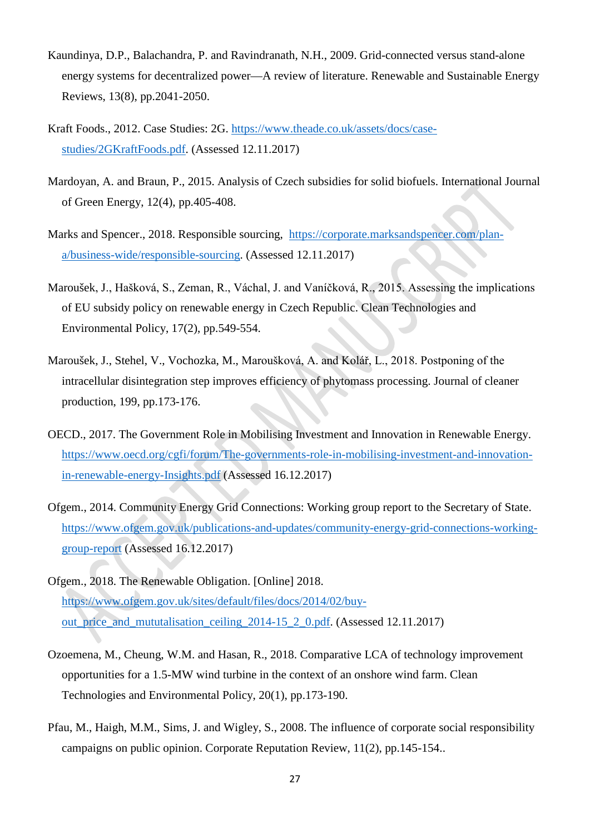- Kaundinya, D.P., Balachandra, P. and Ravindranath, N.H., 2009. Grid-connected versus stand-alone energy systems for decentralized power—A review of literature. Renewable and Sustainable Energy Reviews, 13(8), pp.2041-2050.
- Kraft Foods., 2012. Case Studies: 2G. [https://www.theade.co.uk/assets/docs/case](https://www.theade.co.uk/assets/docs/case-studies/2GKraftFoods.pdf)[studies/2GKraftFoods.pdf.](https://www.theade.co.uk/assets/docs/case-studies/2GKraftFoods.pdf) (Assessed 12.11.2017)
- Mardoyan, A. and Braun, P., 2015. Analysis of Czech subsidies for solid biofuels. International Journal of Green Energy, 12(4), pp.405-408.
- Marks and Spencer., 2018. Responsible sourcing, [https://corporate.marksandspencer.com/plan](https://corporate.marksandspencer.com/plan-a/business-wide/responsible-sourcing)[a/business-wide/responsible-sourcing.](https://corporate.marksandspencer.com/plan-a/business-wide/responsible-sourcing) (Assessed 12.11.2017)
- Maroušek, J., Hašková, S., Zeman, R., Váchal, J. and Vaníčková, R., 2015. Assessing the implications of EU subsidy policy on renewable energy in Czech Republic. Clean Technologies and Environmental Policy, 17(2), pp.549-554.
- Maroušek, J., Stehel, V., Vochozka, M., Maroušková, A. and Kolář, L., 2018. Postponing of the intracellular disintegration step improves efficiency of phytomass processing. Journal of cleaner production, 199, pp.173-176.
- OECD., 2017. The Government Role in Mobilising Investment and Innovation in Renewable Energy. [https://www.oecd.org/cgfi/forum/The-governments-role-in-mobilising-investment-and-innovation](https://www.oecd.org/cgfi/forum/The-governments-role-in-mobilising-investment-and-innovation-in-renewable-energy-Insights.pdf)[in-renewable-energy-Insights.pdf](https://www.oecd.org/cgfi/forum/The-governments-role-in-mobilising-investment-and-innovation-in-renewable-energy-Insights.pdf) (Assessed 16.12.2017)
- Ofgem., 2014. Community Energy Grid Connections: Working group report to the Secretary of State. [https://www.ofgem.gov.uk/publications-and-updates/community-energy-grid-connections-working](https://www.ofgem.gov.uk/publications-and-updates/community-energy-grid-connections-working-group-report)[group-report](https://www.ofgem.gov.uk/publications-and-updates/community-energy-grid-connections-working-group-report) (Assessed 16.12.2017)
- Ofgem., 2018. The Renewable Obligation. [Online] 2018. [https://www.ofgem.gov.uk/sites/default/files/docs/2014/02/buy](https://www.ofgem.gov.uk/sites/default/files/docs/2014/02/buy-out_price_and_mututalisation_ceiling_2014-15_2_0.pdf)[out\\_price\\_and\\_mututalisation\\_ceiling\\_2014-15\\_2\\_0.pdf.](https://www.ofgem.gov.uk/sites/default/files/docs/2014/02/buy-out_price_and_mututalisation_ceiling_2014-15_2_0.pdf) (Assessed 12.11.2017)
- Ozoemena, M., Cheung, W.M. and Hasan, R., 2018. Comparative LCA of technology improvement opportunities for a 1.5-MW wind turbine in the context of an onshore wind farm. Clean Technologies and Environmental Policy, 20(1), pp.173-190.
- Pfau, M., Haigh, M.M., Sims, J. and Wigley, S., 2008. The influence of corporate social responsibility campaigns on public opinion. Corporate Reputation Review, 11(2), pp.145-154..